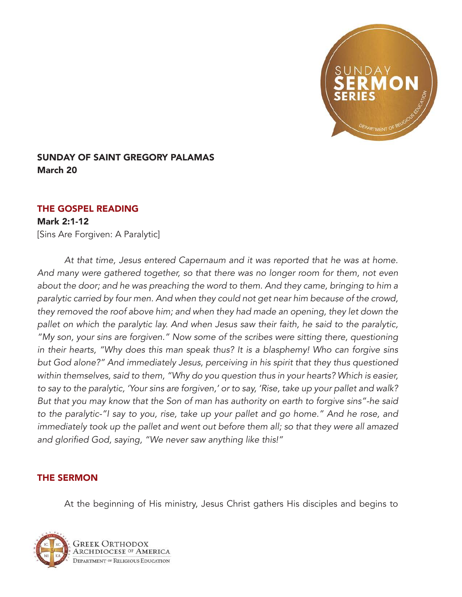

## SUNDAY OF SAINT GREGORY PALAMAS March 20

## THE GOSPEL READING

## Mark 2:1-12

[Sins Are Forgiven: A Paralytic]

*At that time, Jesus entered Capernaum and it was reported that he was at home. And many were gathered together, so that there was no longer room for them, not even*  about the door; and he was preaching the word to them. And they came, bringing to him a *paralytic carried by four men. And when they could not get near him because of the crowd, they removed the roof above him; and when they had made an opening, they let down the pallet on which the paralytic lay. And when Jesus saw their faith, he said to the paralytic, "My son, your sins are forgiven." Now some of the scribes were sitting there, questioning in their hearts, "Why does this man speak thus? It is a blasphemy! Who can forgive sins but God alone?" And immediately Jesus, perceiving in his spirit that they thus questioned within themselves, said to them, "Why do you question thus in your hearts? Which is easier, to say to the paralytic, 'Your sins are forgiven,' or to say, 'Rise, take up your pallet and walk? But that you may know that the Son of man has authority on earth to forgive sins"-he said to the paralytic-"I say to you, rise, take up your pallet and go home." And he rose, and immediately took up the pallet and went out before them all; so that they were all amazed*  and glorified God, saying, "We never saw anything like this!"

## THE SERMON

At the beginning of His ministry, Jesus Christ gathers His disciples and begins to

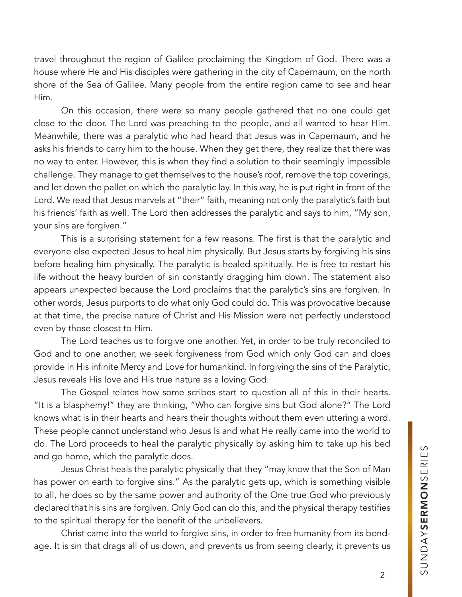travel throughout the region of Galilee proclaiming the Kingdom of God. There was a house where He and His disciples were gathering in the city of Capernaum, on the north shore of the Sea of Galilee. Many people from the entire region came to see and hear Him.

On this occasion, there were so many people gathered that no one could get close to the door. The Lord was preaching to the people, and all wanted to hear Him. Meanwhile, there was a paralytic who had heard that Jesus was in Capernaum, and he asks his friends to carry him to the house. When they get there, they realize that there was no way to enter. However, this is when they find a solution to their seemingly impossible challenge. They manage to get themselves to the house's roof, remove the top coverings, and let down the pallet on which the paralytic lay. In this way, he is put right in front of the Lord. We read that Jesus marvels at "their" faith, meaning not only the paralytic's faith but his friends' faith as well. The Lord then addresses the paralytic and says to him, "My son, your sins are forgiven."

This is a surprising statement for a few reasons. The first is that the paralytic and everyone else expected Jesus to heal him physically. But Jesus starts by forgiving his sins before healing him physically. The paralytic is healed spiritually. He is free to restart his life without the heavy burden of sin constantly dragging him down. The statement also appears unexpected because the Lord proclaims that the paralytic's sins are forgiven. In other words, Jesus purports to do what only God could do. This was provocative because at that time, the precise nature of Christ and His Mission were not perfectly understood even by those closest to Him.

The Lord teaches us to forgive one another. Yet, in order to be truly reconciled to God and to one another, we seek forgiveness from God which only God can and does provide in His infinite Mercy and Love for humankind. In forgiving the sins of the Paralytic, Jesus reveals His love and His true nature as a loving God.

The Gospel relates how some scribes start to question all of this in their hearts. "It is a blasphemy!" they are thinking, "Who can forgive sins but God alone?" The Lord knows what is in their hearts and hears their thoughts without them even uttering a word. These people cannot understand who Jesus Is and what He really came into the world to do. The Lord proceeds to heal the paralytic physically by asking him to take up his bed and go home, which the paralytic does.

Jesus Christ heals the paralytic physically that they "may know that the Son of Man has power on earth to forgive sins." As the paralytic gets up, which is something visible to all, he does so by the same power and authority of the One true God who previously declared that his sins are forgiven. Only God can do this, and the physical therapy testifies to the spiritual therapy for the benefit of the unbelievers.

Christ came into the world to forgive sins, in order to free humanity from its bondage. It is sin that drags all of us down, and prevents us from seeing clearly, it prevents us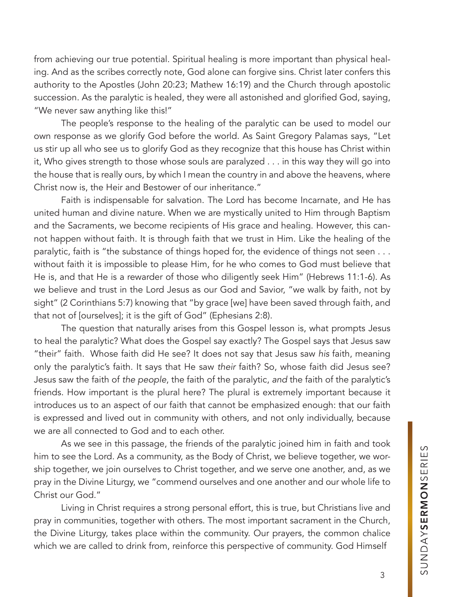from achieving our true potential. Spiritual healing is more important than physical healing. And as the scribes correctly note, God alone can forgive sins. Christ later confers this authority to the Apostles (John 20:23; Mathew 16:19) and the Church through apostolic succession. As the paralytic is healed, they were all astonished and glorified God, saying, "We never saw anything like this!"

The people's response to the healing of the paralytic can be used to model our own response as we glorify God before the world. As Saint Gregory Palamas says, "Let us stir up all who see us to glorify God as they recognize that this house has Christ within it, Who gives strength to those whose souls are paralyzed . . . in this way they will go into the house that is really ours, by which I mean the country in and above the heavens, where Christ now is, the Heir and Bestower of our inheritance."

Faith is indispensable for salvation. The Lord has become Incarnate, and He has united human and divine nature. When we are mystically united to Him through Baptism and the Sacraments, we become recipients of His grace and healing. However, this cannot happen without faith. It is through faith that we trust in Him. Like the healing of the paralytic, faith is "the substance of things hoped for, the evidence of things not seen . . . without faith it is impossible to please Him, for he who comes to God must believe that He is, and that He is a rewarder of those who diligently seek Him" (Hebrews 11:1-6). As we believe and trust in the Lord Jesus as our God and Savior, "we walk by faith, not by sight" (2 Corinthians 5:7) knowing that "by grace [we] have been saved through faith, and that not of [ourselves]; it is the gift of God" (Ephesians 2:8).

The question that naturally arises from this Gospel lesson is, what prompts Jesus to heal the paralytic? What does the Gospel say exactly? The Gospel says that Jesus saw "their" faith. Whose faith did He see? It does not say that Jesus saw *his* faith, meaning only the paralytic's faith. It says that He saw *their* faith? So, whose faith did Jesus see? Jesus saw the faith of *the people*, the faith of the paralytic, *and* the faith of the paralytic's friends. How important is the plural here? The plural is extremely important because it introduces us to an aspect of our faith that cannot be emphasized enough: that our faith is expressed and lived out in community with others, and not only individually, because we are all connected to God and to each other.

As we see in this passage, the friends of the paralytic joined him in faith and took him to see the Lord. As a community, as the Body of Christ, we believe together, we worship together, we join ourselves to Christ together, and we serve one another, and, as we pray in the Divine Liturgy, we "commend ourselves and one another and our whole life to Christ our God."

Living in Christ requires a strong personal effort, this is true, but Christians live and pray in communities, together with others. The most important sacrament in the Church, the Divine Liturgy, takes place within the community. Our prayers, the common chalice which we are called to drink from, reinforce this perspective of community. God Himself